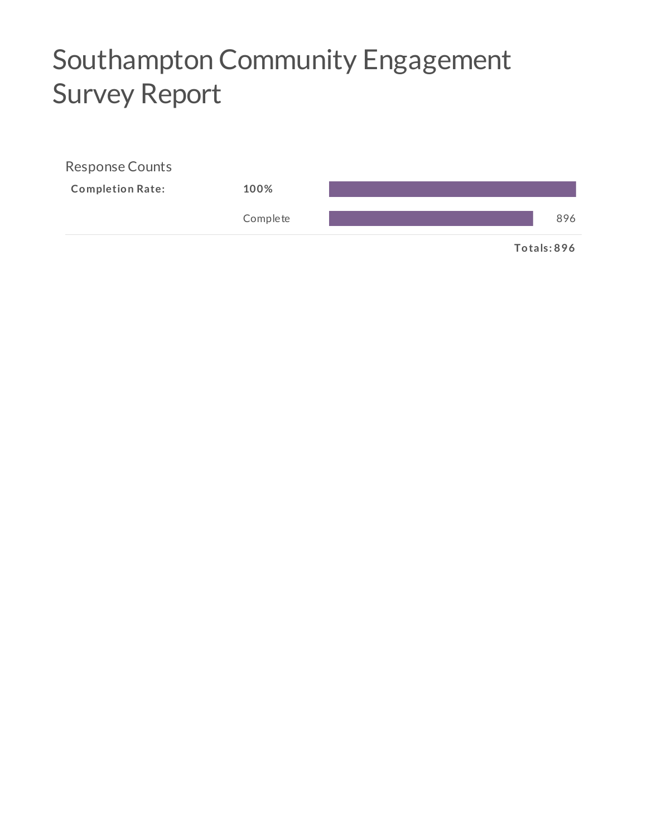# Southampton Community Engagement **Survey Report**

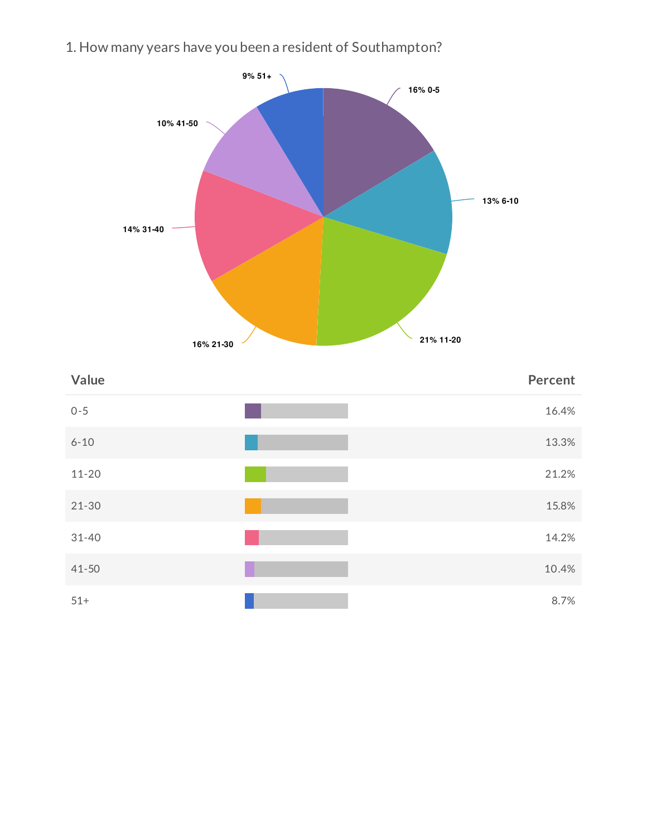1. How many years have you been a resident of Southampton?



| Value     | Percent |
|-----------|---------|
| $0 - 5$   | 16.4%   |
| $6 - 10$  | 13.3%   |
| $11 - 20$ | 21.2%   |
| $21 - 30$ | 15.8%   |
| $31 - 40$ | 14.2%   |
| $41 - 50$ | 10.4%   |
| $51+$     | 8.7%    |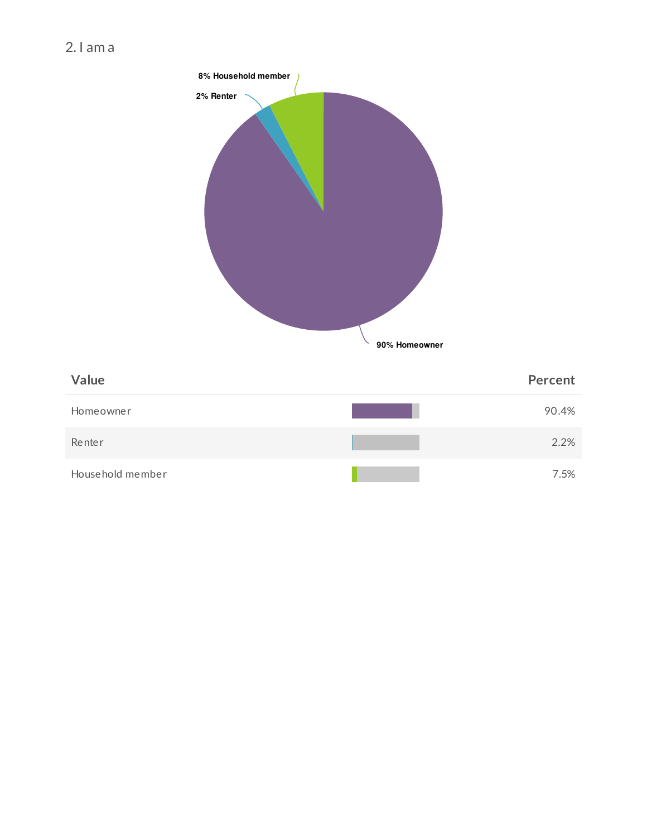

7.5%

Household member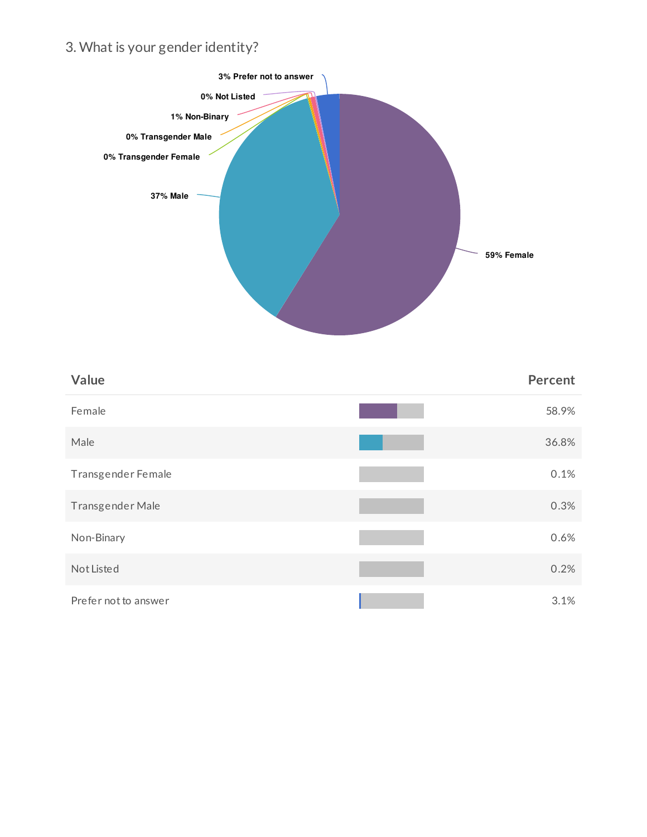# 3. What is your gender identity?



| Value                | <b>Percent</b> |
|----------------------|----------------|
| Female               | 58.9%          |
| Male                 | 36.8%          |
| Transgender Female   | 0.1%           |
| Transgender Male     | 0.3%           |
| Non-Binary           | 0.6%           |
| Not Listed           | 0.2%           |
| Prefer not to answer | 3.1%           |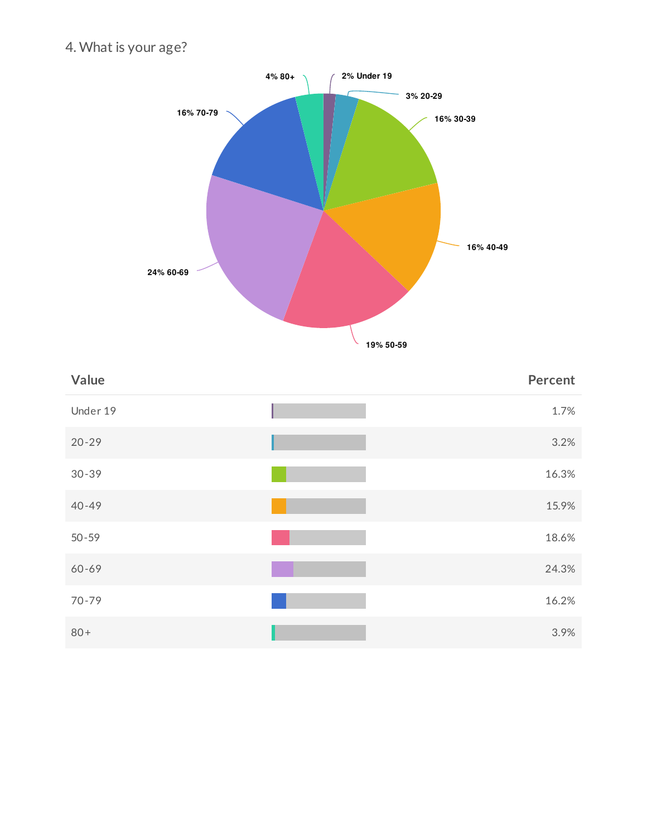4. What is your age?



| Value     | <b>Percent</b> |
|-----------|----------------|
| Under 19  | 1.7%           |
| $20 - 29$ | 3.2%           |
| $30 - 39$ | 16.3%          |
| $40 - 49$ | 15.9%          |
| $50 - 59$ | 18.6%          |
| 60-69     | 24.3%          |
| $70 - 79$ | 16.2%          |
| $80+$     | 3.9%           |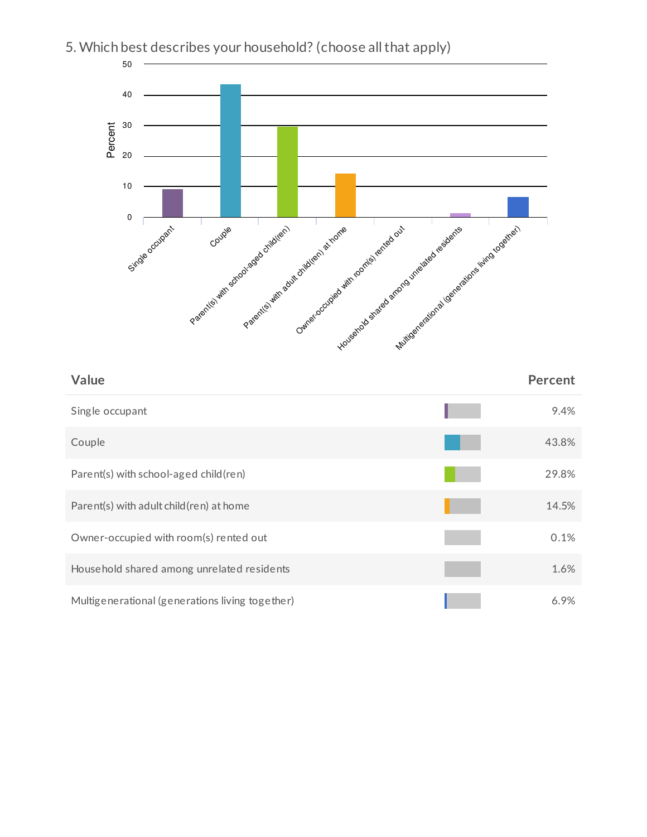

14.5%

0.1%

1.6%

6.9%

# 5. Which best describes your household? (choose all that apply)

Parent(s) with adult child(ren) at home

Owner-occupied with room(s) rented out

Household shared among unrelated residents

Multigenerational (generations living together)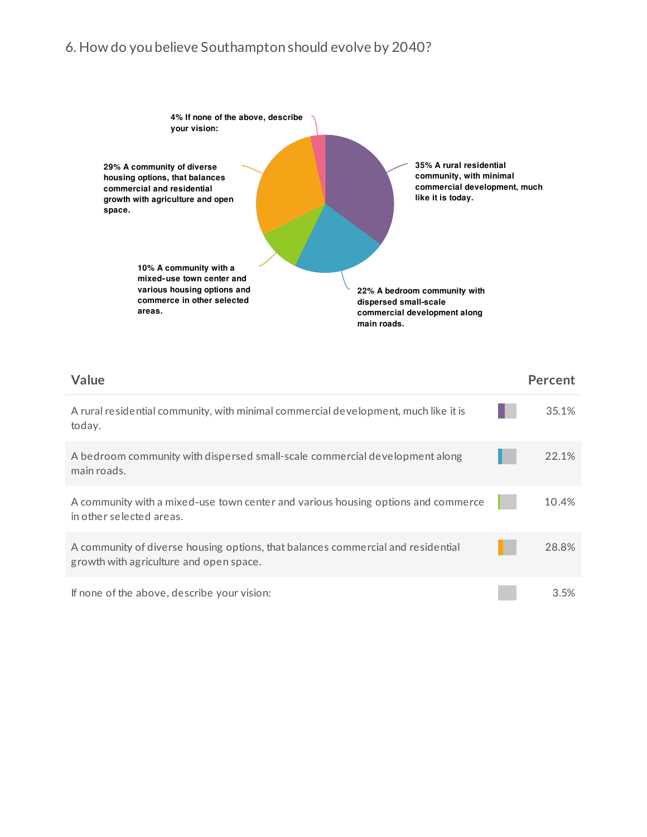# 6. How do you believe Southampton should evolve by 2040?



| Value                                                                                                                       | <b>Percent</b> |
|-----------------------------------------------------------------------------------------------------------------------------|----------------|
| A rural residential community, with minimal commercial development, much like it is<br>today.                               | 35.1%          |
| A bedroom community with dispersed small-scale commercial development along<br>main roads.                                  | 22.1%          |
| A community with a mixed-use town center and various housing options and commerce<br>in other selected areas.               | 10.4%          |
| A community of diverse housing options, that balances commercial and residential<br>growth with agriculture and open space. | 28.8%          |
| If none of the above, describe your vision:                                                                                 | 3.5%           |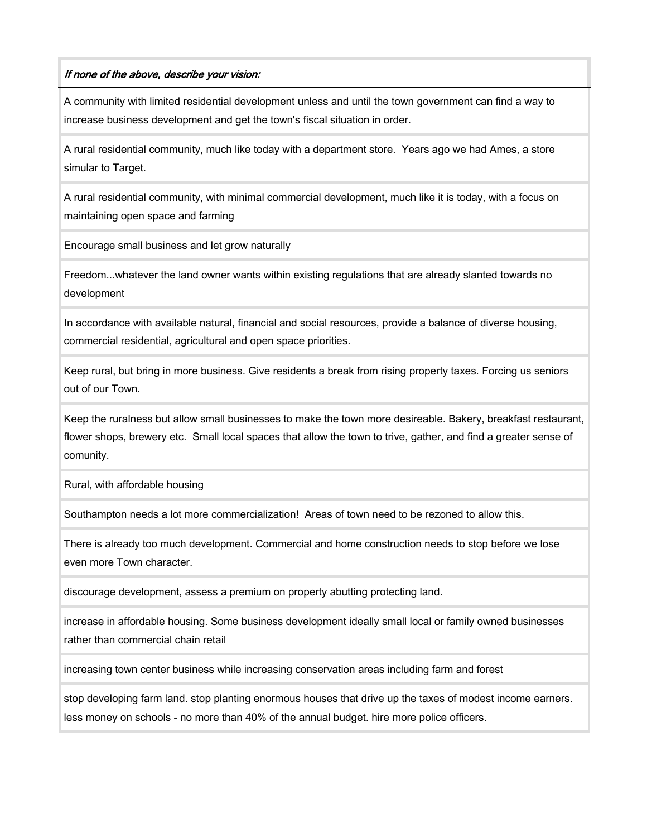#### If none of the above, describe your vision:

A community with limited residential development unless and until the town government can find a way to increase business development and get the town's fiscal situation in order.

A rural residential community, much like today with a department store. Years ago we had Ames, a store simular to Target.

A rural residential community, with minimal commercial development, much like it is today, with a focus on maintaining open space and farming

Encourage small business and let grow naturally

Freedom...whatever the land owner wants within existing regulations that are already slanted towards no development

In accordance with available natural, financial and social resources, provide a balance of diverse housing, commercial residential, agricultural and open space priorities.

Keep rural, but bring in more business. Give residents a break from rising property taxes. Forcing us seniors out of our Town.

Keep the ruralness but allow small businesses to make the town more desireable. Bakery, breakfast restaurant, flower shops, brewery etc. Small local spaces that allow the town to trive, gather, and find a greater sense of comunity.

Rural, with affordable housing

Southampton needs a lot more commercialization! Areas of town need to be rezoned to allow this.

There is already too much development. Commercial and home construction needs to stop before we lose even more Town character.

discourage development, assess a premium on property abutting protecting land.

increase in affordable housing. Some business development ideally small local or family owned businesses rather than commercial chain retail

increasing town center business while increasing conservation areas including farm and forest

stop developing farm land. stop planting enormous houses that drive up the taxes of modest income earners. less money on schools - no more than 40% of the annual budget. hire more police officers.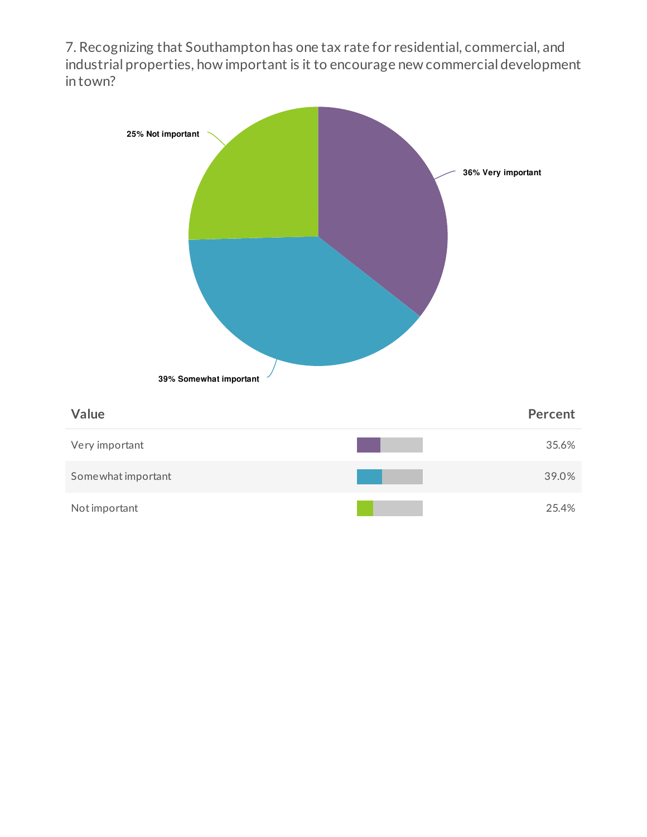7. Recognizing that Southampton has one tax rate for residential, commercial, and industrial properties, how important is it to encourage new commercial development in town?

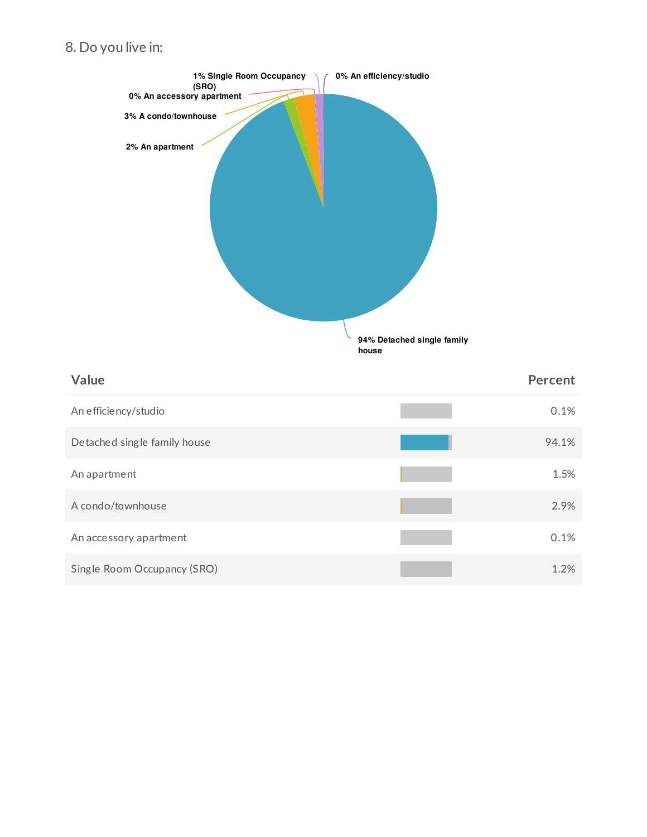# 8. Do you live in:

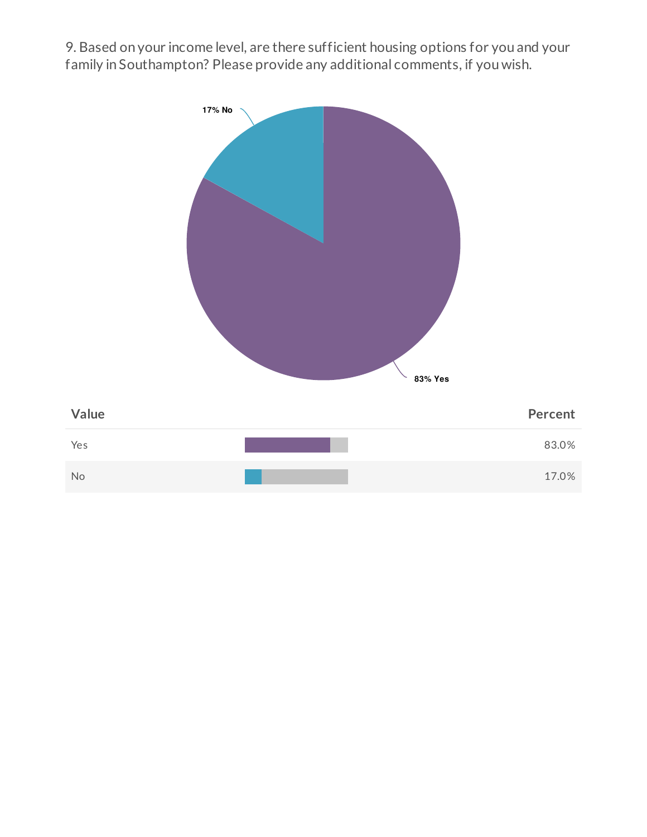9. Based on your income level, are there sufficient housing options for you and your family in Southampton? Please provide any additional comments, if you wish.

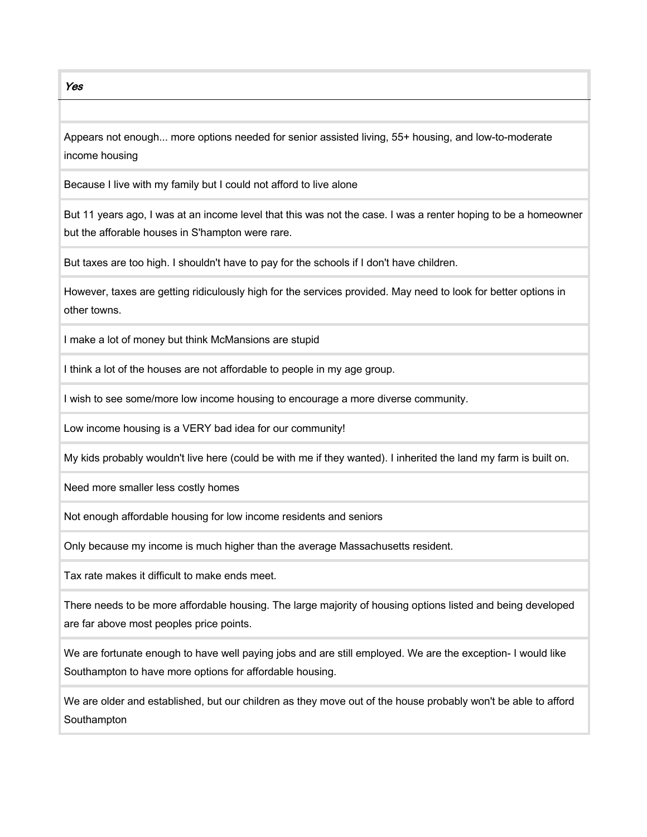Yes

Appears not enough... more options needed for senior assisted living, 55+ housing, and low-to-moderate income housing

Because I live with my family but I could not afford to live alone

But 11 years ago, I was at an income level that this was not the case. I was a renter hoping to be a homeowner but the afforable houses in S'hampton were rare.

But taxes are too high. I shouldn't have to pay for the schools if I don't have children.

However, taxes are getting ridiculously high for the services provided. May need to look for better options in other towns.

I make a lot of money but think McMansions are stupid

I think a lot of the houses are not affordable to people in my age group.

I wish to see some/more low income housing to encourage a more diverse community.

Low income housing is a VERY bad idea for our community!

My kids probably wouldn't live here (could be with me if they wanted). I inherited the land my farm is built on.

Need more smaller less costly homes

Not enough affordable housing for low income residents and seniors

Only because my income is much higher than the average Massachusetts resident.

Tax rate makes it difficult to make ends meet.

There needs to be more affordable housing. The large majority of housing options listed and being developed are far above most peoples price points.

We are fortunate enough to have well paying jobs and are still employed. We are the exception- I would like Southampton to have more options for affordable housing.

We are older and established, but our children as they move out of the house probably won't be able to afford **Southampton**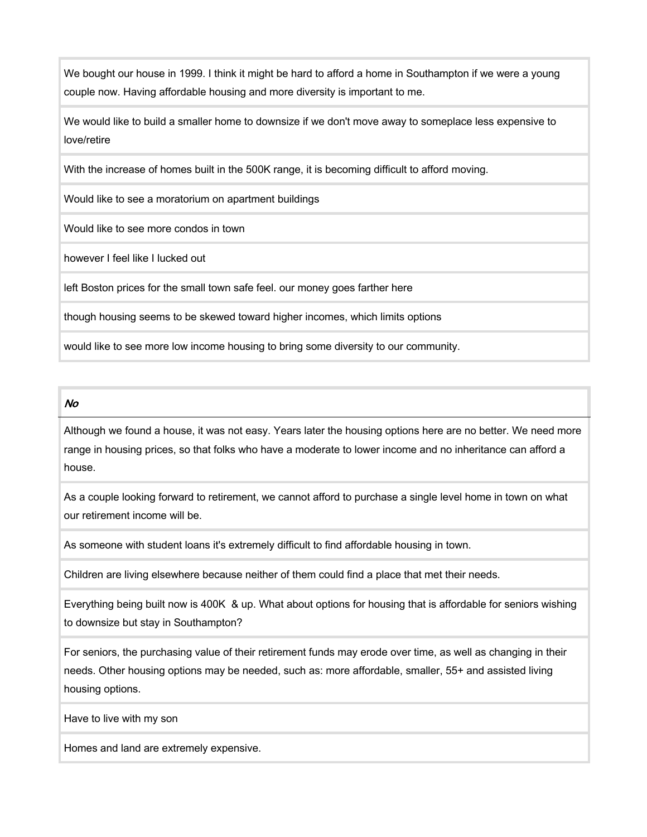We bought our house in 1999. I think it might be hard to afford a home in Southampton if we were a young couple now. Having affordable housing and more diversity is important to me.

We would like to build a smaller home to downsize if we don't move away to someplace less expensive to love/retire

With the increase of homes built in the 500K range, it is becoming difficult to afford moving.

Would like to see a moratorium on apartment buildings

Would like to see more condos in town

however I feel like I lucked out

left Boston prices for the small town safe feel. our money goes farther here

though housing seems to be skewed toward higher incomes, which limits options

would like to see more low income housing to bring some diversity to our community.

#### No

Although we found a house, it was not easy. Years later the housing options here are no better. We need more range in housing prices, so that folks who have a moderate to lower income and no inheritance can afford a house.

As a couple looking forward to retirement, we cannot afford to purchase a single level home in town on what our retirement income will be.

As someone with student loans it's extremely difficult to find affordable housing in town.

Children are living elsewhere because neither of them could find a place that met their needs.

Everything being built now is 400K & up. What about options for housing that is affordable for seniors wishing to downsize but stay in Southampton?

For seniors, the purchasing value of their retirement funds may erode over time, as well as changing in their needs. Other housing options may be needed, such as: more affordable, smaller, 55+ and assisted living housing options.

Have to live with my son

Homes and land are extremely expensive.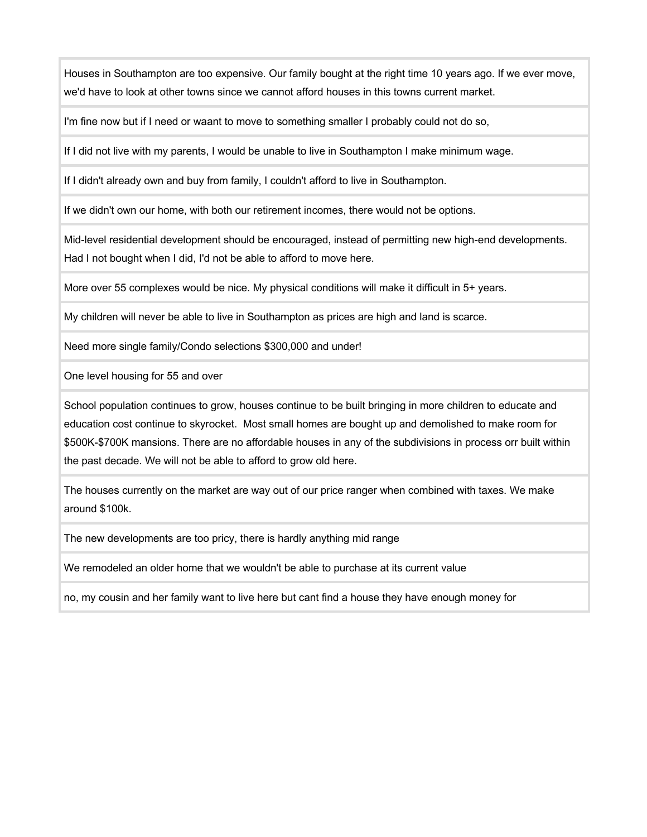Houses in Southampton are too expensive. Our family bought at the right time 10 years ago. If we ever move, we'd have to look at other towns since we cannot afford houses in this towns current market.

I'm fine now but if I need or waant to move to something smaller I probably could not do so,

If I did not live with my parents, I would be unable to live in Southampton I make minimum wage.

If I didn't already own and buy from family, I couldn't afford to live in Southampton.

If we didn't own our home, with both our retirement incomes, there would not be options.

Mid-level residential development should be encouraged, instead of permitting new high-end developments. Had I not bought when I did, I'd not be able to afford to move here.

More over 55 complexes would be nice. My physical conditions will make it difficult in 5+ years.

My children will never be able to live in Southampton as prices are high and land is scarce.

Need more single family/Condo selections \$300,000 and under!

One level housing for 55 and over

School population continues to grow, houses continue to be built bringing in more children to educate and education cost continue to skyrocket. Most small homes are bought up and demolished to make room for \$500K-\$700K mansions. There are no affordable houses in any of the subdivisions in process orr built within the past decade. We will not be able to afford to grow old here.

The houses currently on the market are way out of our price ranger when combined with taxes. We make around \$100k.

The new developments are too pricy, there is hardly anything mid range

We remodeled an older home that we wouldn't be able to purchase at its current value

no, my cousin and her family want to live here but cant find a house they have enough money for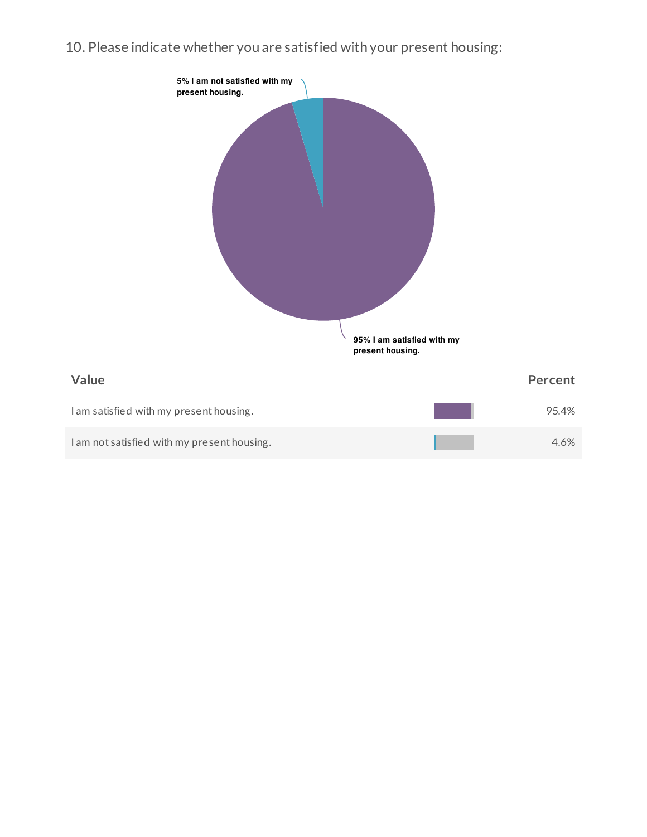10. Please indicate whether you are satisfied with your present housing:

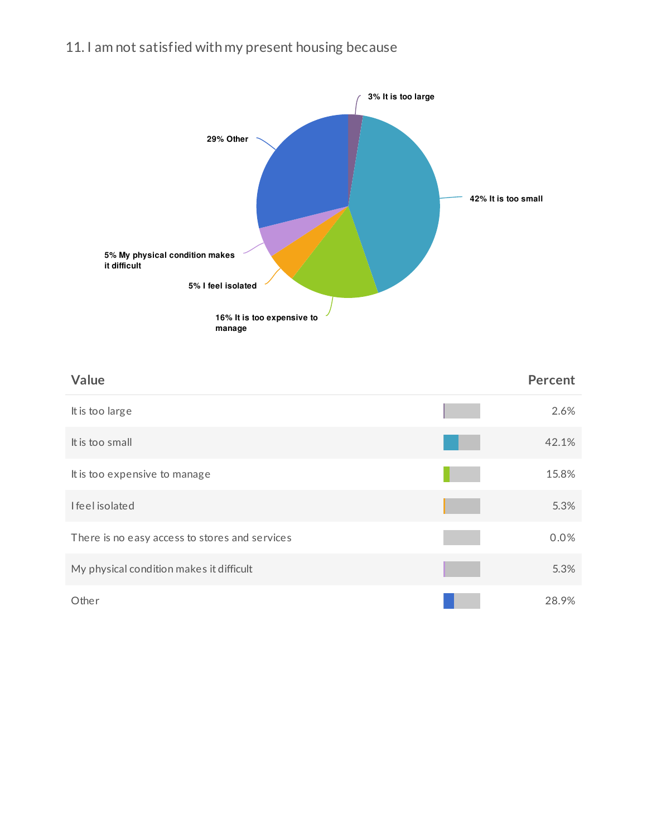# 11. I am not satisfied with my present housing because



| Value                                          | <b>Percent</b> |
|------------------------------------------------|----------------|
| It is too large                                | 2.6%           |
| It is too small                                | 42.1%          |
| It is too expensive to manage                  | 15.8%          |
| I feel isolated                                | 5.3%           |
| There is no easy access to stores and services | 0.0%           |
| My physical condition makes it difficult       | 5.3%           |
| Other                                          | 28.9%          |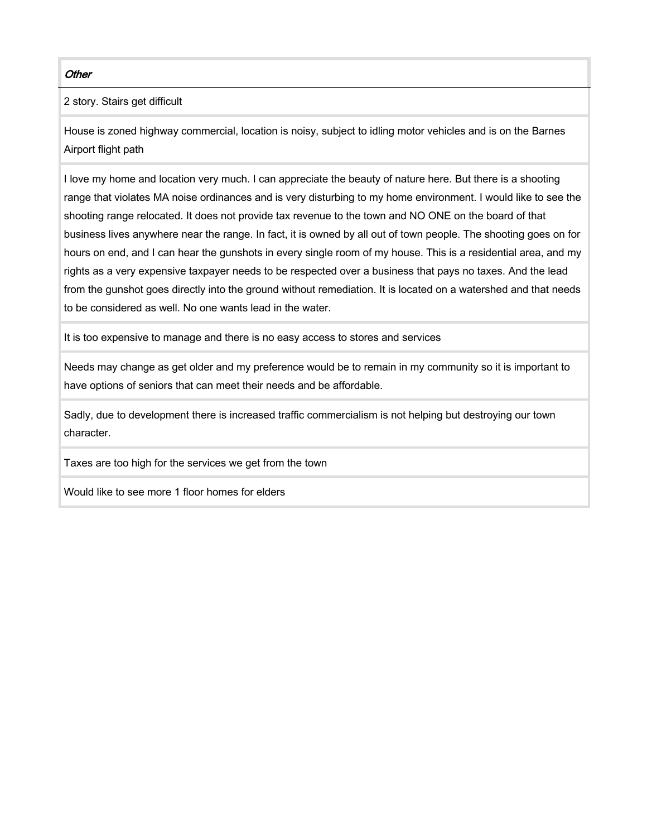#### **Other**

2 story. Stairs get difficult

House is zoned highway commercial, location is noisy, subject to idling motor vehicles and is on the Barnes Airport flight path

I love my home and location very much. I can appreciate the beauty of nature here. But there is a shooting range that violates MA noise ordinances and is very disturbing to my home environment. I would like to see the shooting range relocated. It does not provide tax revenue to the town and NO ONE on the board of that business lives anywhere near the range. In fact, it is owned by all out of town people. The shooting goes on for hours on end, and I can hear the gunshots in every single room of my house. This is a residential area, and my rights as a very expensive taxpayer needs to be respected over a business that pays no taxes. And the lead from the gunshot goes directly into the ground without remediation. It is located on a watershed and that needs to be considered as well. No one wants lead in the water.

It is too expensive to manage and there is no easy access to stores and services

Needs may change as get older and my preference would be to remain in my community so it is important to have options of seniors that can meet their needs and be affordable.

Sadly, due to development there is increased traffic commercialism is not helping but destroying our town character.

Taxes are too high for the services we get from the town

Would like to see more 1 floor homes for elders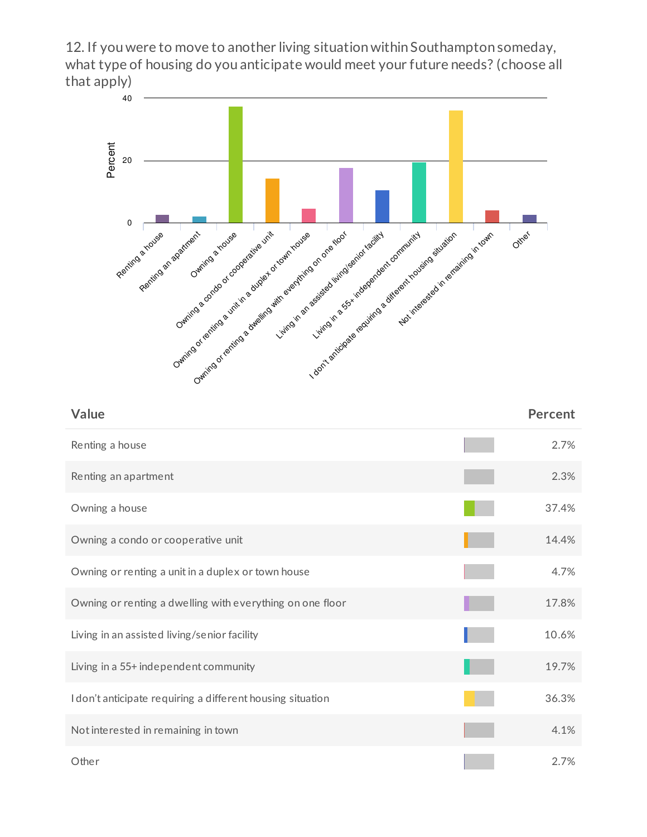12. If you were to move to another living situation within Southampton someday, what type of housing do you anticipate would meet your future needs? (choose all that apply)



| Value                                                      | <b>Percent</b> |
|------------------------------------------------------------|----------------|
| Renting a house                                            | 2.7%           |
| Renting an apartment                                       | 2.3%           |
| Owning a house                                             | 37.4%          |
| Owning a condo or cooperative unit                         | 14.4%          |
| Owning or renting a unit in a duplex or town house         | 4.7%           |
| Owning or renting a dwelling with everything on one floor  | 17.8%          |
| Living in an assisted living/senior facility               | 10.6%          |
| Living in a 55+ independent community                      | 19.7%          |
| I don't anticipate requiring a different housing situation | 36.3%          |
| Not interested in remaining in town                        | 4.1%           |
| Other                                                      | 2.7%           |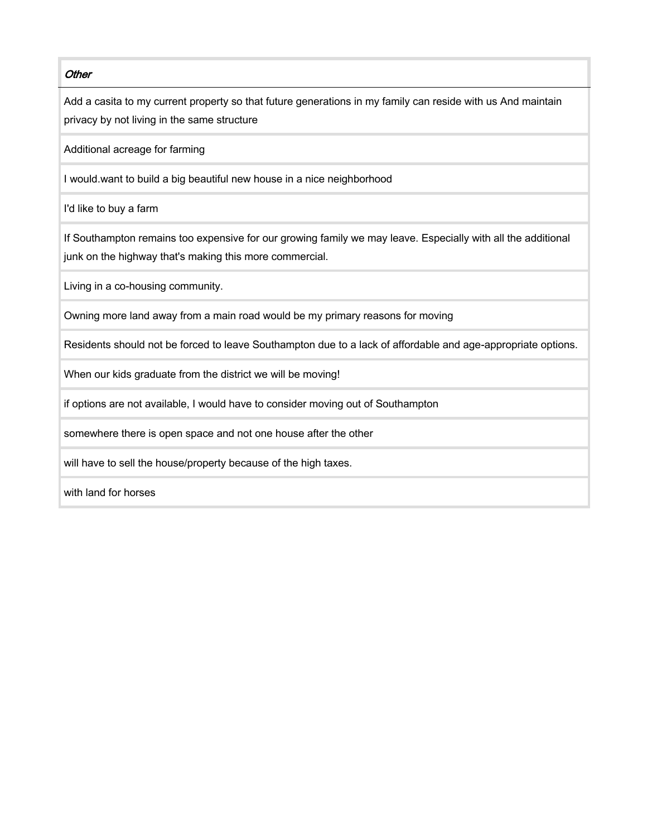#### **Other**

Add a casita to my current property so that future generations in my family can reside with us And maintain privacy by not living in the same structure

Additional acreage for farming

I would.want to build a big beautiful new house in a nice neighborhood

I'd like to buy a farm

If Southampton remains too expensive for our growing family we may leave. Especially with all the additional junk on the highway that's making this more commercial.

Living in a co-housing community.

Owning more land away from a main road would be my primary reasons for moving

Residents should not be forced to leave Southampton due to a lack of affordable and age-appropriate options.

When our kids graduate from the district we will be moving!

if options are not available, I would have to consider moving out of Southampton

somewhere there is open space and not one house after the other

will have to sell the house/property because of the high taxes.

with land for horses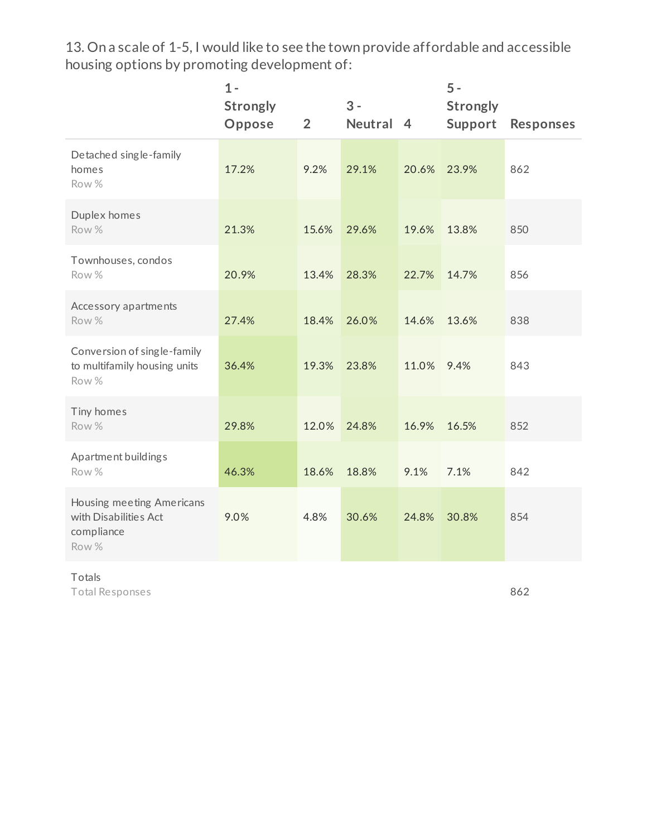13. On a scale of 1-5, I would like to see the town provide affordable and accessible housing options by promoting development of:

|                                                                           | $1 -$<br><b>Strongly</b><br>Oppose | $\overline{2}$ | $3 -$<br>Neutral 4 |       | $5 -$<br><b>Strongly</b><br>Support | <b>Responses</b> |
|---------------------------------------------------------------------------|------------------------------------|----------------|--------------------|-------|-------------------------------------|------------------|
| Detached single-family<br>homes<br>Row %                                  | 17.2%                              | 9.2%           | 29.1%              | 20.6% | 23.9%                               | 862              |
| Duplex homes<br>Row %                                                     | 21.3%                              | 15.6%          | 29.6%              | 19.6% | 13.8%                               | 850              |
| Townhouses, condos<br>Row %                                               | 20.9%                              | 13.4%          | 28.3%              | 22.7% | 14.7%                               | 856              |
| Accessory apartments<br>Row %                                             | 27.4%                              | 18.4%          | 26.0%              | 14.6% | 13.6%                               | 838              |
| Conversion of single-family<br>to multifamily housing units<br>Row %      | 36.4%                              | 19.3%          | 23.8%              | 11.0% | 9.4%                                | 843              |
| Tiny homes<br>Row %                                                       | 29.8%                              | 12.0%          | 24.8%              | 16.9% | 16.5%                               | 852              |
| Apartment buildings<br>Row %                                              | 46.3%                              | 18.6%          | 18.8%              | 9.1%  | 7.1%                                | 842              |
| Housing meeting Americans<br>with Disabilities Act<br>compliance<br>Row % | 9.0%                               | 4.8%           | 30.6%              | 24.8% | 30.8%                               | 854              |

### Totals

Total Responses

862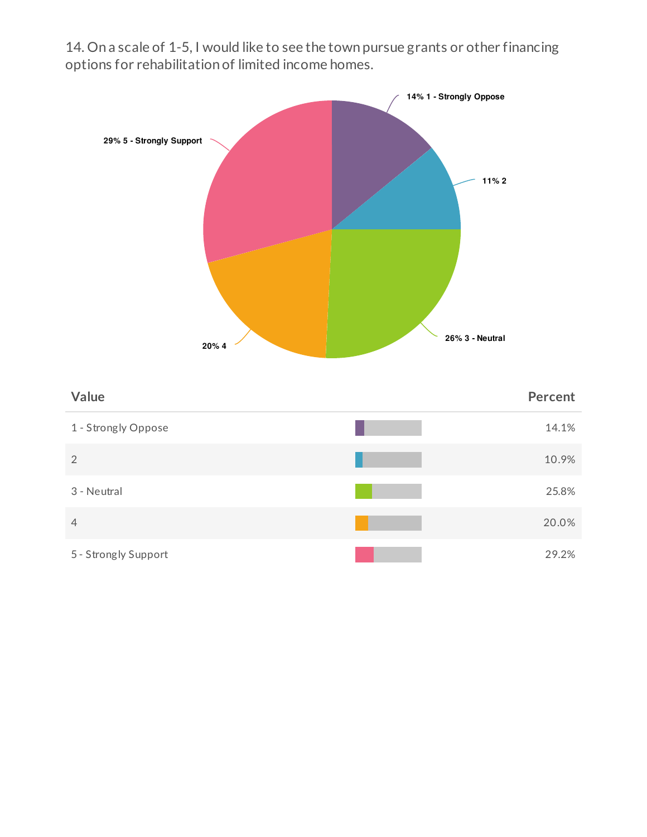14. On a scale of 1-5, I would like to see the town pursue grants or other financing options for rehabilitation of limited income homes.



| Value                | Percent |
|----------------------|---------|
| 1 - Strongly Oppose  | 14.1%   |
| 2                    | 10.9%   |
| 3 - Neutral          | 25.8%   |
| $\overline{4}$       | 20.0%   |
| 5 - Strongly Support | 29.2%   |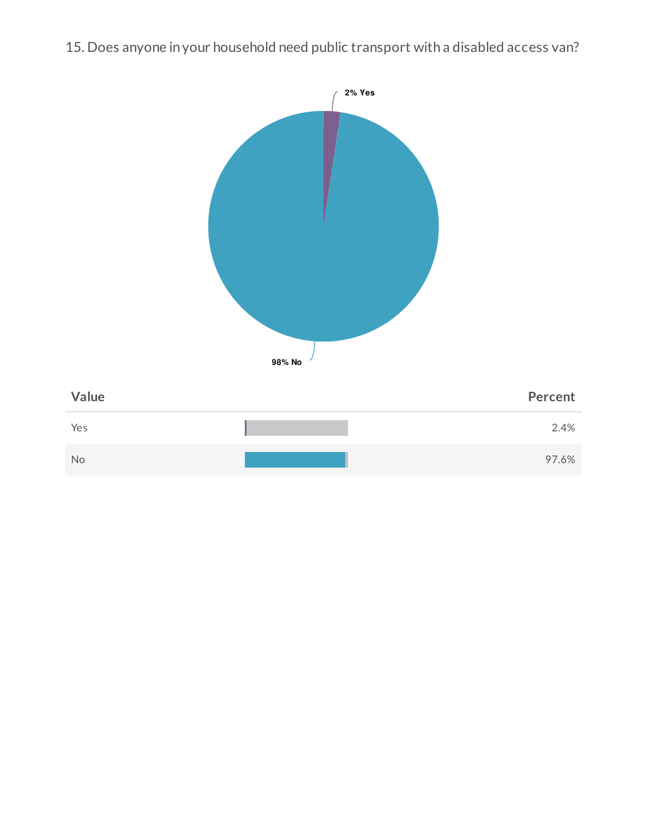

# 15. Does anyone in your household need public transport with a disabled access van?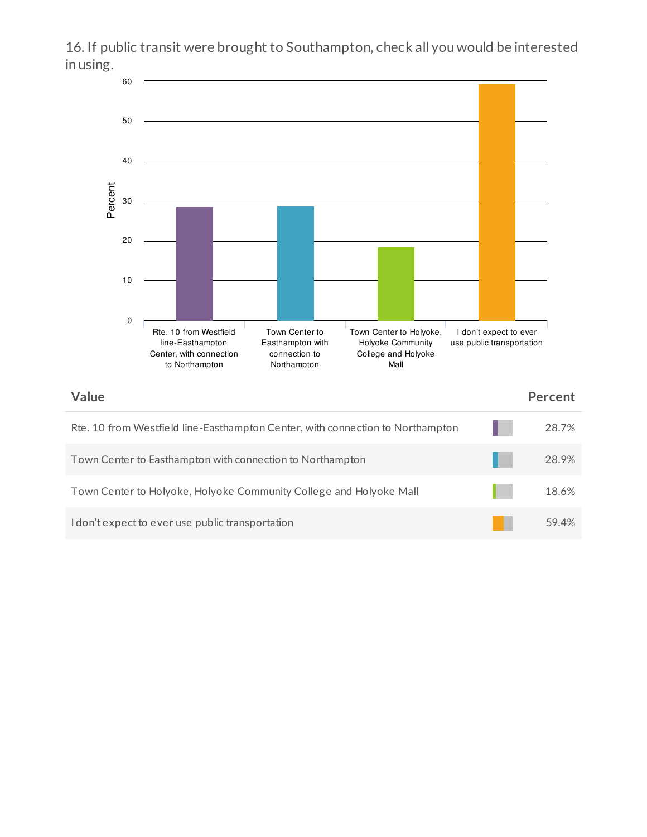16. If public transit were brought to Southampton, check all you would be interested in using. 60 50



| Value                                                                          | <b>Percent</b> |
|--------------------------------------------------------------------------------|----------------|
| Rte. 10 from Westfield line-Easthampton Center, with connection to Northampton | 28.7%          |
| Town Center to Easthampton with connection to Northampton                      | 28.9%          |
| Town Center to Holyoke, Holyoke Community College and Holyoke Mall             | 18.6%          |
| I don't expect to ever use public transportation                               | 59.4%          |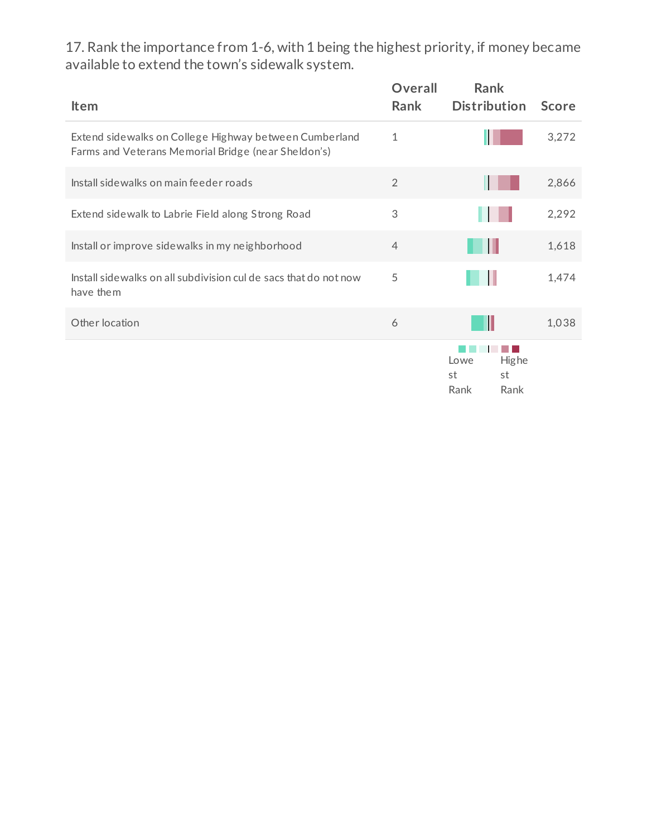17. Rank the importance from 1-6, with 1 being the highest priority, if money became available to extend the town's sidewalk system.

| <b>Item</b>                                                                                                   | <b>Overall</b><br>Rank | <b>Rank</b><br><b>Distribution</b>               | <b>Score</b> |
|---------------------------------------------------------------------------------------------------------------|------------------------|--------------------------------------------------|--------------|
| Extend sidewalks on College Highway between Cumberland<br>Farms and Veterans Memorial Bridge (near Sheldon's) | 1                      |                                                  | 3,272        |
| Install sidewalks on main feeder roads                                                                        | $\overline{2}$         |                                                  | 2,866        |
| Extend sidewalk to Labrie Field along Strong Road                                                             | 3                      |                                                  | 2,292        |
| Install or improve sidewalks in my neighborhood                                                               | $\overline{4}$         |                                                  | 1,618        |
| Install sidewalks on all subdivision cul de sacs that do not now<br>have them                                 | 5                      |                                                  | 1,474        |
| Other location                                                                                                | 6                      |                                                  | 1,038        |
|                                                                                                               |                        | <b>Highe</b><br>Lowe<br>st<br>st<br>Rank<br>Rank |              |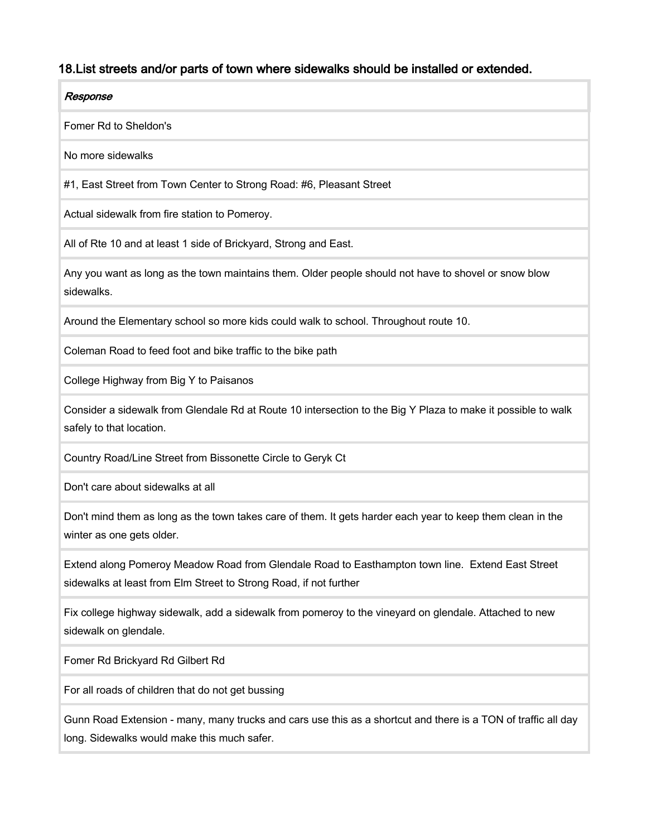# 18.List streets and/or parts of town where sidewalks should be installed or extended.

| Response                                                                                                                                                              |
|-----------------------------------------------------------------------------------------------------------------------------------------------------------------------|
| Fomer Rd to Sheldon's                                                                                                                                                 |
| No more sidewalks                                                                                                                                                     |
| #1, East Street from Town Center to Strong Road: #6, Pleasant Street                                                                                                  |
| Actual sidewalk from fire station to Pomeroy.                                                                                                                         |
| All of Rte 10 and at least 1 side of Brickyard, Strong and East.                                                                                                      |
| Any you want as long as the town maintains them. Older people should not have to shovel or snow blow<br>sidewalks.                                                    |
| Around the Elementary school so more kids could walk to school. Throughout route 10.                                                                                  |
| Coleman Road to feed foot and bike traffic to the bike path                                                                                                           |
| College Highway from Big Y to Paisanos                                                                                                                                |
| Consider a sidewalk from Glendale Rd at Route 10 intersection to the Big Y Plaza to make it possible to walk<br>safely to that location.                              |
| Country Road/Line Street from Bissonette Circle to Geryk Ct                                                                                                           |
| Don't care about sidewalks at all                                                                                                                                     |
| Don't mind them as long as the town takes care of them. It gets harder each year to keep them clean in the<br>winter as one gets older.                               |
| Extend along Pomeroy Meadow Road from Glendale Road to Easthampton town line. Extend East Street<br>sidewalks at least from Elm Street to Strong Road, if not further |
| Fix college highway sidewalk, add a sidewalk from pomeroy to the vineyard on glendale. Attached to new<br>sidewalk on glendale.                                       |
| Fomer Rd Brickyard Rd Gilbert Rd                                                                                                                                      |
| For all roads of children that do not get bussing                                                                                                                     |
| Gunn Road Extension - many, many trucks and cars use this as a shortcut and there is a TON of traffic all day<br>long. Sidewalks would make this much safer.          |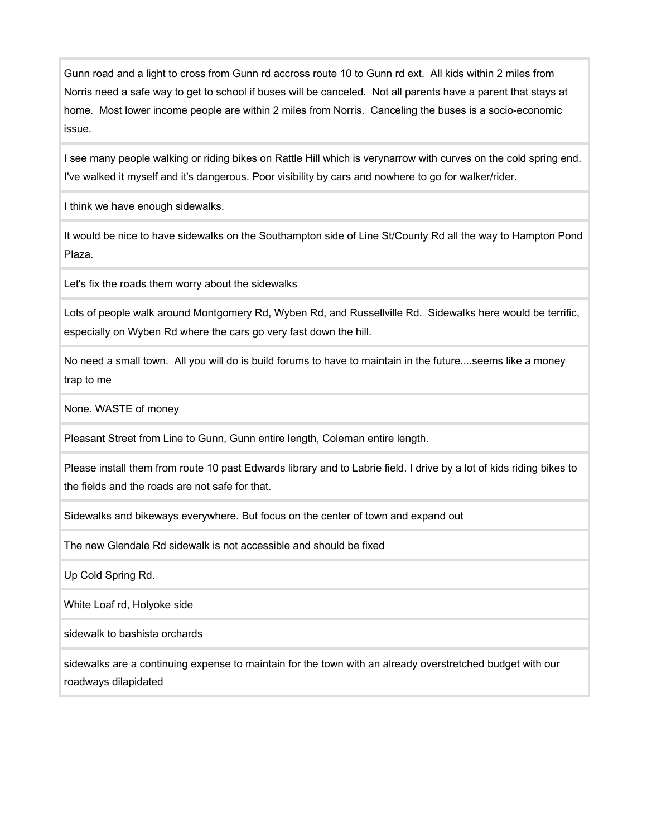Gunn road and a light to cross from Gunn rd accross route 10 to Gunn rd ext. All kids within 2 miles from Norris need a safe way to get to school if buses will be canceled. Not all parents have a parent that stays at home. Most lower income people are within 2 miles from Norris. Canceling the buses is a socio-economic issue.

I see many people walking or riding bikes on Rattle Hill which is verynarrow with curves on the cold spring end. I've walked it myself and it's dangerous. Poor visibility by cars and nowhere to go for walker/rider.

I think we have enough sidewalks.

It would be nice to have sidewalks on the Southampton side of Line St/County Rd all the way to Hampton Pond Plaza.

Let's fix the roads them worry about the sidewalks

Lots of people walk around Montgomery Rd, Wyben Rd, and Russellville Rd. Sidewalks here would be terrific, especially on Wyben Rd where the cars go very fast down the hill.

No need a small town. All you will do is build forums to have to maintain in the future....seems like a money trap to me

None. WASTE of money

Pleasant Street from Line to Gunn, Gunn entire length, Coleman entire length.

Please install them from route 10 past Edwards library and to Labrie field. I drive by a lot of kids riding bikes to the fields and the roads are not safe for that.

Sidewalks and bikeways everywhere. But focus on the center of town and expand out

The new Glendale Rd sidewalk is not accessible and should be fixed

Up Cold Spring Rd.

White Loaf rd, Holyoke side

sidewalk to bashista orchards

sidewalks are a continuing expense to maintain for the town with an already overstretched budget with our roadways dilapidated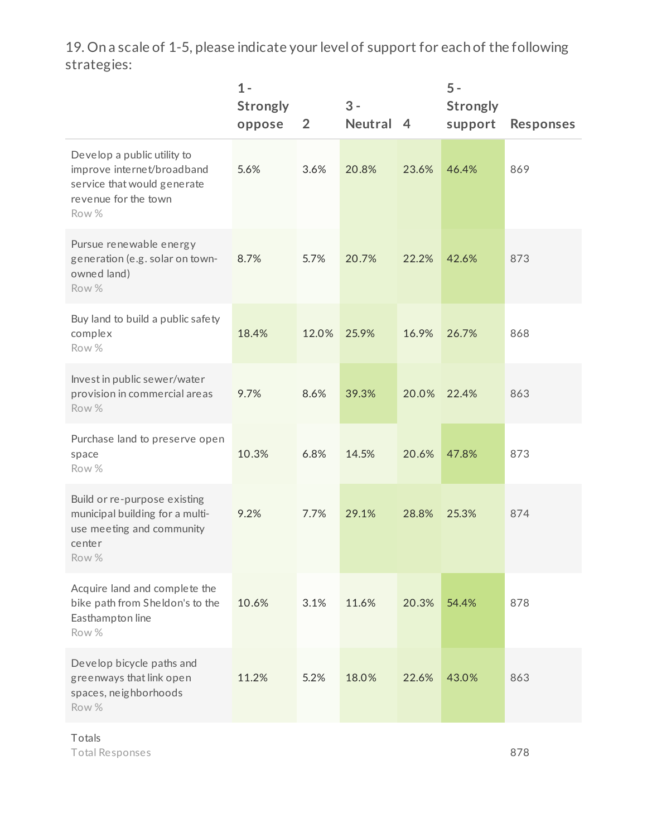19. On a scale of 1-5, please indicate your level of support for each of the following strategies:

|                                                                                                                           | $1 -$<br><b>Strongly</b><br>oppose | $\overline{2}$ | $3 -$<br>Neutral | $\overline{4}$ | $5 -$<br><b>Strongly</b><br>support | <b>Responses</b> |
|---------------------------------------------------------------------------------------------------------------------------|------------------------------------|----------------|------------------|----------------|-------------------------------------|------------------|
| Develop a public utility to<br>improve internet/broadband<br>service that would generate<br>revenue for the town<br>Row % | 5.6%                               | 3.6%           | 20.8%            | 23.6%          | 46.4%                               | 869              |
| Pursue renewable energy<br>generation (e.g. solar on town-<br>owned land)<br>Row %                                        | 8.7%                               | 5.7%           | 20.7%            | 22.2%          | 42.6%                               | 873              |
| Buy land to build a public safety<br>complex<br>Row %                                                                     | 18.4%                              | 12.0%          | 25.9%            | 16.9%          | 26.7%                               | 868              |
| Invest in public sewer/water<br>provision in commercial areas<br>Row %                                                    | 9.7%                               | 8.6%           | 39.3%            | 20.0%          | 22.4%                               | 863              |
| Purchase land to preserve open<br>space<br>Row %                                                                          | 10.3%                              | 6.8%           | 14.5%            | 20.6%          | 47.8%                               | 873              |
| Build or re-purpose existing<br>municipal building for a multi-<br>use meeting and community<br>center<br>Row %           | 9.2%                               | 7.7%           | 29.1%            | 28.8%          | 25.3%                               | 874              |
| Acquire land and complete the<br>bike path from Sheldon's to the<br>Easthampton line<br>Row %                             | 10.6%                              | 3.1%           | 11.6%            | 20.3%          | 54.4%                               | 878              |
| Develop bicycle paths and<br>greenways that link open<br>spaces, neighborhoods<br>Row %                                   | 11.2%                              | 5.2%           | 18.0%            | 22.6%          | 43.0%                               | 863              |

Totals Total Responses

878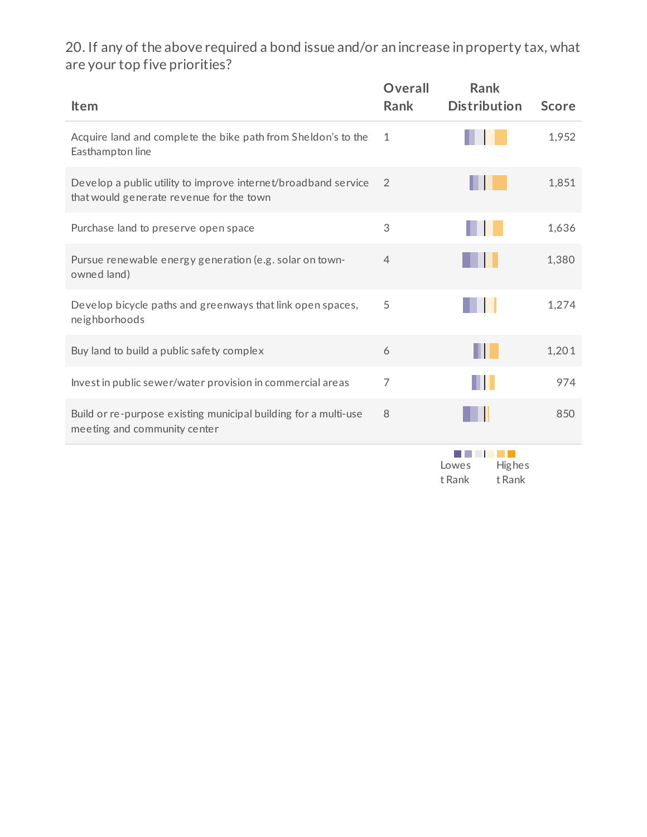20. If any of the above required a bond issue and/or an increase in property tax, what are your top five priorities?

| <b>Item</b>                                                                                                | <b>Overall</b><br><b>Rank</b> | <b>Rank</b><br><b>Distribution</b>  | <b>Score</b> |
|------------------------------------------------------------------------------------------------------------|-------------------------------|-------------------------------------|--------------|
| Acquire land and complete the bike path from Sheldon's to the<br>Easthampton line                          | $\mathbf{1}$                  |                                     | 1,952        |
| Develop a public utility to improve internet/broadband service<br>that would generate revenue for the town | $\overline{2}$                |                                     | 1,851        |
| Purchase land to preserve open space                                                                       | 3                             |                                     | 1,636        |
| Pursue renewable energy generation (e.g. solar on town-<br>owned land)                                     | $\overline{4}$                |                                     | 1,380        |
| Develop bicycle paths and greenways that link open spaces,<br>neighborhoods                                | 5                             |                                     | 1,274        |
| Buy land to build a public safety complex                                                                  | 6                             |                                     | 1,201        |
| Invest in public sewer/water provision in commercial areas                                                 | $\overline{7}$                | Ш                                   | 974          |
| Build or re-purpose existing municipal building for a multi-use<br>meeting and community center            | 8                             |                                     | 850          |
|                                                                                                            |                               | Highes<br>Lowes<br>t Rank<br>t Rank |              |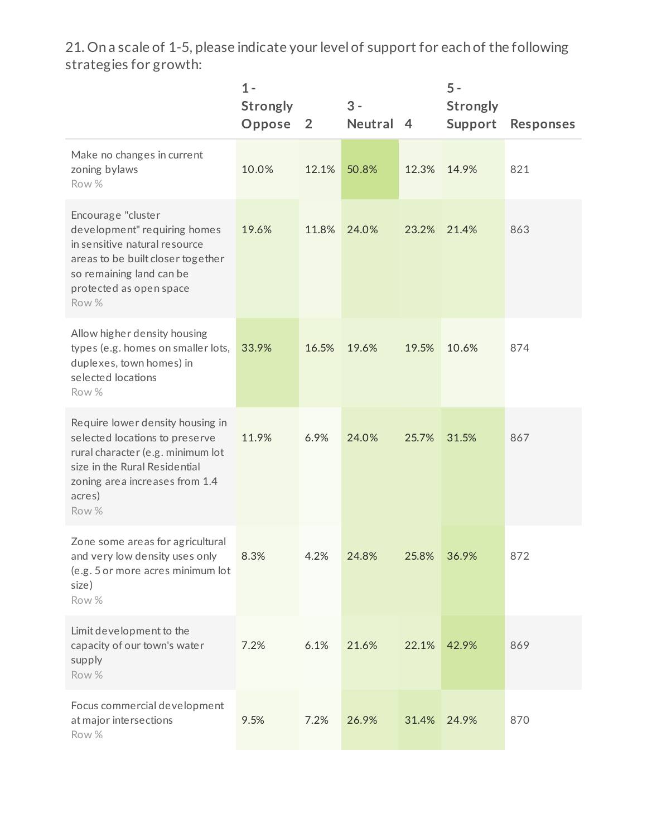21. On a scale of 1-5, please indicate your level of support for each of the following strategies for growth:

|                                                                                                                                                                                               | $1 -$<br><b>Strongly</b><br>Oppose | $\overline{2}$ | $3 -$<br>Neutral 4 |       | $5 -$<br><b>Strongly</b><br>Support | <b>Responses</b> |
|-----------------------------------------------------------------------------------------------------------------------------------------------------------------------------------------------|------------------------------------|----------------|--------------------|-------|-------------------------------------|------------------|
| Make no changes in current<br>zoning bylaws<br>Row %                                                                                                                                          | 10.0%                              | 12.1%          | 50.8%              | 12.3% | 14.9%                               | 821              |
| Encourage "cluster<br>development" requiring homes<br>in sensitive natural resource<br>areas to be built closer together<br>so remaining land can be<br>protected as open space<br>Row %      | 19.6%                              | 11.8%          | 24.0%              | 23.2% | 21.4%                               | 863              |
| Allow higher density housing<br>types (e.g. homes on smaller lots,<br>duplexes, town homes) in<br>selected locations<br>Row %                                                                 | 33.9%                              | 16.5%          | 19.6%              | 19.5% | 10.6%                               | 874              |
| Require lower density housing in<br>selected locations to preserve<br>rural character (e.g. minimum lot<br>size in the Rural Residential<br>zoning area increases from 1.4<br>acres)<br>Row % | 11.9%                              | 6.9%           | 24.0%              | 25.7% | 31.5%                               | 867              |
| Zone some areas for agricultural<br>and very low density uses only<br>(e.g. 5 or more acres minimum lot<br>size)<br>Row %                                                                     | 8.3%                               | 4.2%           | 24.8%              | 25.8% | 36.9%                               | 872              |
| Limit development to the<br>capacity of our town's water<br>supply<br>Row %                                                                                                                   | 7.2%                               | 6.1%           | 21.6%              | 22.1% | 42.9%                               | 869              |
| Focus commercial development<br>at major intersections<br>Row %                                                                                                                               | 9.5%                               | 7.2%           | 26.9%              | 31.4% | 24.9%                               | 870              |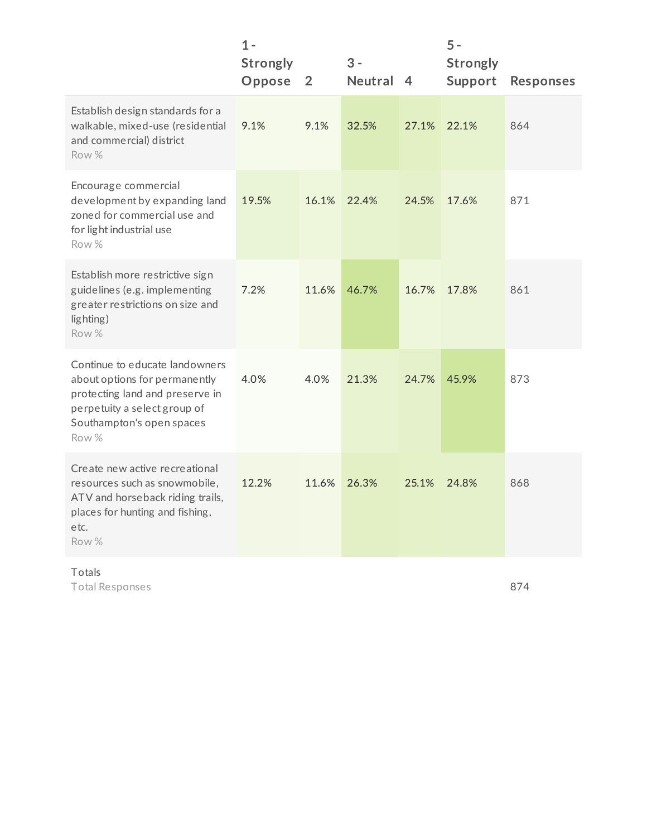|                                                                                                                                                                          | $1 -$<br><b>Strongly</b><br>Oppose | $\overline{2}$ | $3 -$<br>Neutral 4 |       | $5 -$<br><b>Strongly</b><br>Support | <b>Responses</b> |
|--------------------------------------------------------------------------------------------------------------------------------------------------------------------------|------------------------------------|----------------|--------------------|-------|-------------------------------------|------------------|
| Establish design standards for a<br>walkable, mixed-use (residential<br>and commercial) district<br>Row %                                                                | 9.1%                               | 9.1%           | 32.5%              | 27.1% | 22.1%                               | 864              |
| Encourage commercial<br>development by expanding land<br>zoned for commercial use and<br>for light industrial use<br>Row %                                               | 19.5%                              | 16.1%          | 22.4%              | 24.5% | 17.6%                               | 871              |
| Establish more restrictive sign<br>guidelines (e.g. implementing<br>greater restrictions on size and<br>lighting)<br>Row %                                               | 7.2%                               | 11.6%          | 46.7%              | 16.7% | 17.8%                               | 861              |
| Continue to educate landowners<br>about options for permanently<br>protecting land and preserve in<br>perpetuity a select group of<br>Southampton's open spaces<br>Row % | 4.0%                               | 4.0%           | 21.3%              | 24.7% | 45.9%                               | 873              |
| Create new active recreational<br>resources such as snowmobile,<br>ATV and horseback riding trails,<br>places for hunting and fishing,<br>etc.<br>Row %                  | 12.2%                              | 11.6%          | 26.3%              | 25.1% | 24.8%                               | 868              |

# Totals

Total Responses

874